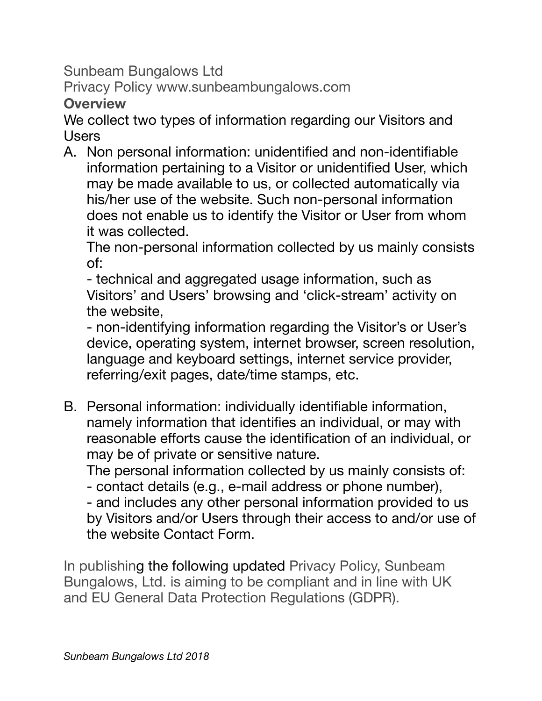Sunbeam Bungalows Ltd

Privacy Policy www.sunbeambungalows.com

**Overview** 

We collect two types of information regarding our Visitors and Users

A. Non personal information: unidentified and non-identifiable information pertaining to a Visitor or unidentified User, which may be made available to us, or collected automatically via his/her use of the website. Such non-personal information does not enable us to identify the Visitor or User from whom it was collected.

The non-personal information collected by us mainly consists of:

- technical and aggregated usage information, such as Visitors' and Users' browsing and 'click-stream' activity on the website,

- non-identifying information regarding the Visitor's or User's device, operating system, internet browser, screen resolution, language and keyboard settings, internet service provider, referring/exit pages, date/time stamps, etc.

B. Personal information: individually identifiable information, namely information that identifies an individual, or may with reasonable efforts cause the identification of an individual, or may be of private or sensitive nature.

The personal information collected by us mainly consists of:

- contact details (e.g., e-mail address or phone number),

- and includes any other personal information provided to us by Visitors and/or Users through their access to and/or use of the website Contact Form.

In publishing the following updated Privacy Policy, Sunbeam Bungalows, Ltd. is aiming to be compliant and in line with UK and EU General Data Protection Regulations (GDPR).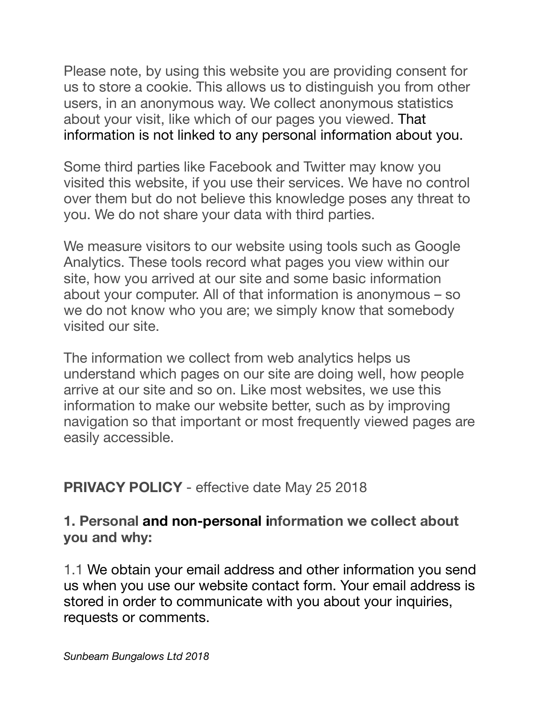Please note, by using this website you are providing consent for us to store a cookie. This allows us to distinguish you from other users, in an anonymous way. We collect anonymous statistics about your visit, like which of our pages you viewed. That information is not linked to any personal information about you.

Some third parties like Facebook and Twitter may know you visited this website, if you use their services. We have no control over them but do not believe this knowledge poses any threat to you. We do not share your data with third parties.

We measure visitors to our website using tools such as Google Analytics. These tools record what pages you view within our site, how you arrived at our site and some basic information about your computer. All of that information is anonymous – so we do not know who you are; we simply know that somebody visited our site.

The information we collect from web analytics helps us understand which pages on our site are doing well, how people arrive at our site and so on. Like most websites, we use this information to make our website better, such as by improving navigation so that important or most frequently viewed pages are easily accessible.

## **PRIVACY POLICY** - effective date May 25 2018

#### **1. Personal and non-personal information we collect about you and why:**

1.1 We obtain your email address and other information you send us when you use our website contact form. Your email address is stored in order to communicate with you about your inquiries, requests or comments.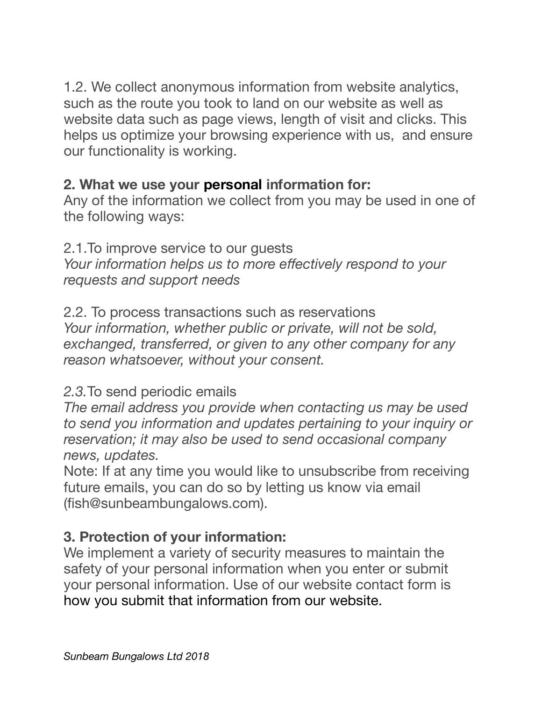1.2. We collect anonymous information from website analytics, such as the route you took to land on our website as well as website data such as page views, length of visit and clicks. This helps us optimize your browsing experience with us, and ensure our functionality is working.

## **2. What we use your personal information for:**

Any of the information we collect from you may be used in one of the following ways:

2.1.To improve service to our guests *Your information helps us to more effectively respond to your requests and support needs*

2.2. To process transactions such as reservations *Your information, whether public or private, will not be sold, exchanged, transferred, or given to any other company for any reason whatsoever, without your consent.* 

#### *2.3.*To send periodic emails

*The email address you provide when contacting us may be used to send you information and updates pertaining to your inquiry or reservation; it may also be used to send occasional company news, updates.*

Note: If at any time you would like to unsubscribe from receiving future emails, you can do so by letting us know via email (fish@sunbeambungalows.com).

#### **3. Protection of your information:**

We implement a variety of security measures to maintain the safety of your personal information when you enter or submit your personal information. Use of our website contact form is how you submit that information from our website.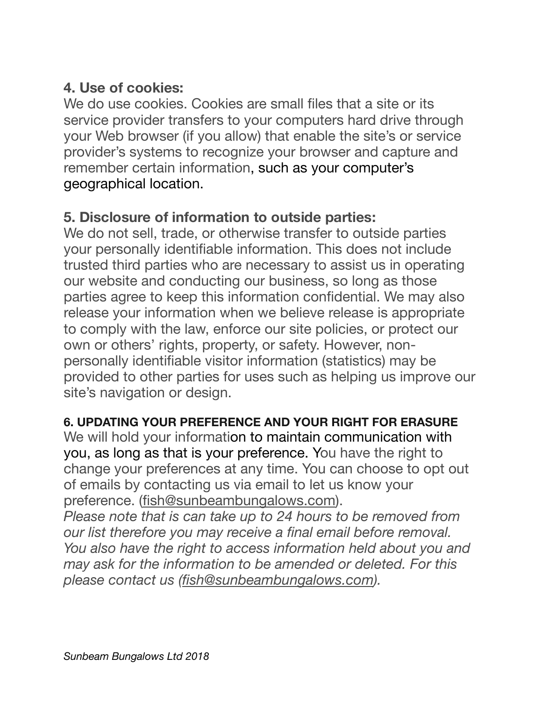# **4. Use of cookies:**

We do use cookies. Cookies are small files that a site or its service provider transfers to your computers hard drive through your Web browser (if you allow) that enable the site's or service provider's systems to recognize your browser and capture and remember certain information, such as your computer's geographical location.

#### **5. Disclosure of information to outside parties:**

We do not sell, trade, or otherwise transfer to outside parties your personally identifiable information. This does not include trusted third parties who are necessary to assist us in operating our website and conducting our business, so long as those parties agree to keep this information confidential. We may also release your information when we believe release is appropriate to comply with the law, enforce our site policies, or protect our own or others' rights, property, or safety. However, nonpersonally identifiable visitor information (statistics) may be provided to other parties for uses such as helping us improve our site's navigation or design.

#### **6. UPDATING YOUR PREFERENCE AND YOUR RIGHT FOR ERASURE**

We will hold your information to maintain communication with you, as long as that is your preference. You have the right to change your preferences at any time. You can choose to opt out of emails by contacting us via email to let us know your preference. [\(fish@sunbeambungalows.com](mailto:fish@sunbeambungalows.com)).

*Please note that is can take up to 24 hours to be removed from our list therefore you may receive a final email before removal. You also have the right to access information held about you and may ask for the information to be amended or deleted. For this please contact us ([fish@sunbeambungalows.com](mailto:fish@sunbeambungalows.com)).*